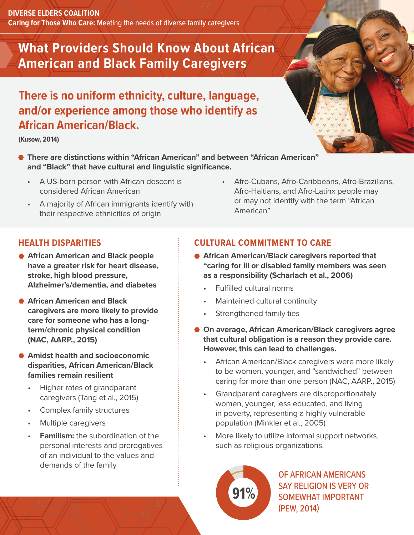**DIVERSE ELDERS COALITION Caring for Those Who Care:** Meeting the needs of diverse family caregivers

# **What Providers Should Know About African American and Black Family Caregivers**

## **There is no uniform ethnicity, culture, language, and/or experience among those who identify as African American/Black.**

**(Kusow, 2014)**

- **There are distinctions within "African American" and between "African American" and "Black" that have cultural and linguistic significance.**
	- A US-born person with African descent is considered African American
	- A majority of African immigrants identify with their respective ethnicities of origin
- Afro-Cubans, Afro-Caribbeans, Afro-Brazilians, Afro-Haitians, and Afro-Latinx people may or may not identify with the term "African American"

## **HEALTH DISPARITIES**

- **African American and Black people have a greater risk for heart disease, stroke, high blood pressure, Alzheimer's/dementia, and diabetes**
- **African American and Black caregivers are more likely to provide care for someone who has a longterm/chronic physical condition (NAC, AARP., 2015)**
- **Amidst health and socioeconomic disparities, African American/Black families remain resilient** 
	- Higher rates of grandparent caregivers (Tang et al., 2015)
	- Complex family structures
	- Multiple caregivers
	- **Familism:** the subordination of the personal interests and prerogatives of an individual to the values and demands of the family

## **CULTURAL COMMITMENT TO CARE**

- **African American/Black caregivers reported that "caring for ill or disabled family members was seen as a responsibility (Scharlach et al., 2006)**
	- Fulfilled cultural norms
	- Maintained cultural continuity
	- Strengthened family ties
- **On average, African American/Black caregivers agree that cultural obligation is a reason they provide care. However, this can lead to challenges.**
	- African American/Black caregivers were more likely to be women, younger, and "sandwiched" between caring for more than one person (NAC, AARP., 2015)
	- Grandparent caregivers are disproportionately women, younger, less educated, and living in poverty, representing a highly vulnerable population (Minkler et al., 2005)
	- More likely to utilize informal support networks, such as religious organizations.



OF AFRICAN AMERICANS SAY RELIGION IS VERY OR SOMEWHAT IMPORTANT (PEW, 2014)